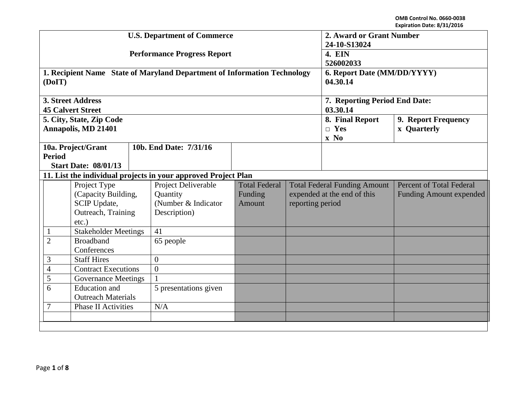|                                                                                       |               |                                                                         |                                           | <b>U.S. Department of Commerce</b>                                                     | 2. Award or Grant Number<br>24-10-S13024<br>4. EIN<br>526002033 |                                                                   |                                           |                                           |
|---------------------------------------------------------------------------------------|---------------|-------------------------------------------------------------------------|-------------------------------------------|----------------------------------------------------------------------------------------|-----------------------------------------------------------------|-------------------------------------------------------------------|-------------------------------------------|-------------------------------------------|
|                                                                                       |               |                                                                         |                                           | <b>Performance Progress Report</b>                                                     |                                                                 |                                                                   |                                           |                                           |
|                                                                                       | (DoIT)        |                                                                         |                                           | 1. Recipient Name State of Maryland Department of Information Technology               | 6. Report Date (MM/DD/YYYY)<br>04.30.14                         |                                                                   |                                           |                                           |
|                                                                                       |               | <b>3. Street Address</b><br><b>45 Calvert Street</b>                    |                                           |                                                                                        | 7. Reporting Period End Date:<br>03.30.14                       |                                                                   |                                           |                                           |
|                                                                                       |               | 5. City, State, Zip Code<br>Annapolis, MD 21401                         |                                           |                                                                                        |                                                                 |                                                                   | 8. Final Report<br>$\Box$ Yes<br>$x \ No$ | 9. Report Frequency<br><b>x</b> Quarterly |
|                                                                                       | <b>Period</b> | 10a. Project/Grant<br><b>Start Date: 08/01/13</b>                       |                                           | 10b. End Date: 7/31/16                                                                 |                                                                 |                                                                   |                                           |                                           |
|                                                                                       |               |                                                                         |                                           | 11. List the individual projects in your approved Project Plan                         |                                                                 |                                                                   |                                           |                                           |
| Project Type<br>(Capacity Building,<br>SCIP Update,<br>Outreach, Training<br>$etc.$ ) |               | Project Deliverable<br>Quantity<br>(Number & Indicator)<br>Description) | <b>Total Federal</b><br>Funding<br>Amount | <b>Total Federal Funding Amount</b><br>expended at the end of this<br>reporting period |                                                                 | <b>Percent of Total Federal</b><br><b>Funding Amount expended</b> |                                           |                                           |
| <b>Stakeholder Meetings</b><br>$\mathbf{1}$                                           |               |                                                                         | 41                                        |                                                                                        |                                                                 |                                                                   |                                           |                                           |
| $\overline{2}$<br><b>Broadband</b><br>Conferences                                     |               | 65 people                                                               |                                           |                                                                                        |                                                                 |                                                                   |                                           |                                           |
| 3<br><b>Staff Hires</b>                                                               |               | $\overline{0}$                                                          |                                           |                                                                                        |                                                                 |                                                                   |                                           |                                           |
| <b>Contract Executions</b><br>$\overline{4}$                                          |               | $\theta$                                                                |                                           |                                                                                        |                                                                 |                                                                   |                                           |                                           |
| 5<br><b>Governance Meetings</b>                                                       |               |                                                                         |                                           |                                                                                        |                                                                 |                                                                   |                                           |                                           |
| <b>Education</b> and<br>6<br><b>Outreach Materials</b>                                |               | 5 presentations given                                                   |                                           |                                                                                        |                                                                 |                                                                   |                                           |                                           |
| $\overline{7}$<br><b>Phase II Activities</b>                                          |               |                                                                         |                                           | N/A                                                                                    |                                                                 |                                                                   |                                           |                                           |
|                                                                                       |               |                                                                         |                                           |                                                                                        |                                                                 |                                                                   |                                           |                                           |
|                                                                                       |               |                                                                         |                                           |                                                                                        |                                                                 |                                                                   |                                           |                                           |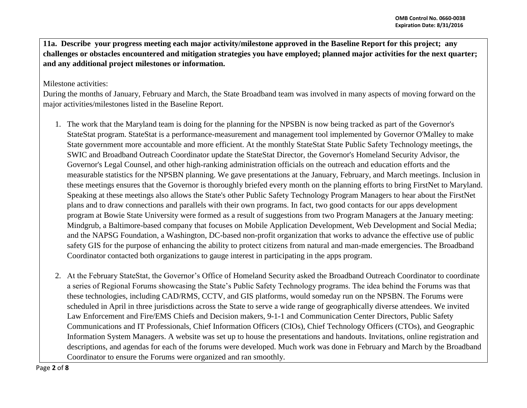**11a. Describe your progress meeting each major activity/milestone approved in the Baseline Report for this project; any challenges or obstacles encountered and mitigation strategies you have employed; planned major activities for the next quarter; and any additional project milestones or information.**

Milestone activities:

During the months of January, February and March, the State Broadband team was involved in many aspects of moving forward on the major activities/milestones listed in the Baseline Report.

- 1. The work that the Maryland team is doing for the planning for the NPSBN is now being tracked as part of the Governor's StateStat program. StateStat is a performance-measurement and management tool implemented by Governor O'Malley to make State government more accountable and more efficient. At the monthly StateStat State Public Safety Technology meetings, the SWIC and Broadband Outreach Coordinator update the StateStat Director, the Governor's Homeland Security Advisor, the Governor's Legal Counsel, and other high-ranking administration officials on the outreach and education efforts and the measurable statistics for the NPSBN planning. We gave presentations at the January, February, and March meetings. Inclusion in these meetings ensures that the Governor is thoroughly briefed every month on the planning efforts to bring FirstNet to Maryland. Speaking at these meetings also allows the State's other Public Safety Technology Program Managers to hear about the FirstNet plans and to draw connections and parallels with their own programs. In fact, two good contacts for our apps development program at Bowie State University were formed as a result of suggestions from two Program Managers at the January meeting: Mindgrub, a Baltimore-based company that focuses on Mobile Application Development, Web Development and Social Media; and the NAPSG Foundation, a Washington, DC-based non-profit organization that works to advance the effective use of public safety GIS for the purpose of enhancing the ability to protect citizens from natural and man-made emergencies. The Broadband Coordinator contacted both organizations to gauge interest in participating in the apps program.
- 2. At the February StateStat, the Governor's Office of Homeland Security asked the Broadband Outreach Coordinator to coordinate a series of Regional Forums showcasing the State's Public Safety Technology programs. The idea behind the Forums was that these technologies, including CAD/RMS, CCTV, and GIS platforms, would someday run on the NPSBN. The Forums were scheduled in April in three jurisdictions across the State to serve a wide range of geographically diverse attendees. We invited Law Enforcement and Fire/EMS Chiefs and Decision makers, 9-1-1 and Communication Center Directors, Public Safety Communications and IT Professionals, Chief Information Officers (CIOs), Chief Technology Officers (CTOs), and Geographic Information System Managers. A website was set up to house the presentations and handouts. Invitations, online registration and descriptions, and agendas for each of the forums were developed. Much work was done in February and March by the Broadband Coordinator to ensure the Forums were organized and ran smoothly.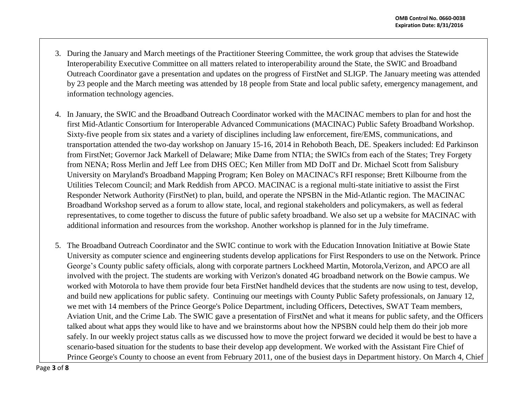- 3. During the January and March meetings of the Practitioner Steering Committee, the work group that advises the Statewide Interoperability Executive Committee on all matters related to interoperability around the State, the SWIC and Broadband Outreach Coordinator gave a presentation and updates on the progress of FirstNet and SLIGP. The January meeting was attended by 23 people and the March meeting was attended by 18 people from State and local public safety, emergency management, and information technology agencies.
- 4. In January, the SWIC and the Broadband Outreach Coordinator worked with the MACINAC members to plan for and host the first Mid-Atlantic Consortium for Interoperable Advanced Communications (MACINAC) Public Safety Broadband Workshop. Sixty-five people from six states and a variety of disciplines including law enforcement, fire/EMS, communications, and transportation attended the two-day workshop on January 15-16, 2014 in Rehoboth Beach, DE. Speakers included: Ed Parkinson from FirstNet; Governor Jack Markell of Delaware; Mike Dame from NTIA; the SWICs from each of the States; Trey Forgety from NENA; Ross Merlin and Jeff Lee from DHS OEC; Ken Miller from MD DoIT and Dr. Michael Scott from Salisbury University on Maryland's Broadband Mapping Program; Ken Boley on MACINAC's RFI response; Brett Kilbourne from the Utilities Telecom Council; and Mark Reddish from APCO. MACINAC is a regional multi-state initiative to assist the First Responder Network Authority (FirstNet) to plan, build, and operate the NPSBN in the Mid-Atlantic region. The MACINAC Broadband Workshop served as a forum to allow state, local, and regional stakeholders and policymakers, as well as federal representatives, to come together to discuss the future of public safety broadband. We also set up a website for MACINAC with additional information and resources from the workshop. Another workshop is planned for in the July timeframe.
- 5. The Broadband Outreach Coordinator and the SWIC continue to work with the Education Innovation Initiative at Bowie State University as computer science and engineering students develop applications for First Responders to use on the Network. Prince George's County public safety officials, along with corporate partners Lockheed Martin, Motorola,Verizon, and APCO are all involved with the project. The students are working with Verizon's donated 4G broadband network on the Bowie campus. We worked with Motorola to have them provide four beta FirstNet handheld devices that the students are now using to test, develop, and build new applications for public safety. Continuing our meetings with County Public Safety professionals, on January 12, we met with 14 members of the Prince George's Police Department, including Officers, Detectives, SWAT Team members, Aviation Unit, and the Crime Lab. The SWIC gave a presentation of FirstNet and what it means for public safety, and the Officers talked about what apps they would like to have and we brainstorms about how the NPSBN could help them do their job more safely. In our weekly project status calls as we discussed how to move the project forward we decided it would be best to have a scenario-based situation for the students to base their develop app development. We worked with the Assistant Fire Chief of Prince George's County to choose an event from February 2011, one of the busiest days in Department history. On March 4, Chief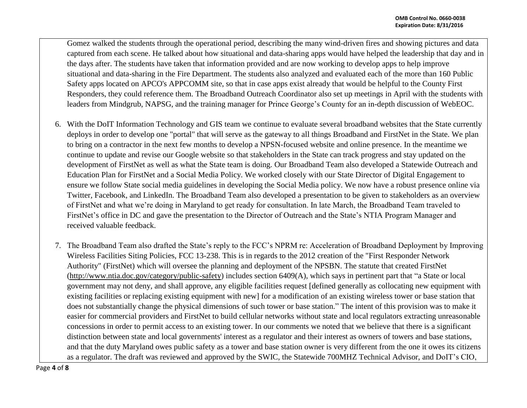Gomez walked the students through the operational period, describing the many wind-driven fires and showing pictures and data captured from each scene. He talked about how situational and data-sharing apps would have helped the leadership that day and in the days after. The students have taken that information provided and are now working to develop apps to help improve situational and data-sharing in the Fire Department. The students also analyzed and evaluated each of the more than 160 Public Safety apps located on APCO's APPCOMM site, so that in case apps exist already that would be helpful to the County First Responders, they could reference them. The Broadband Outreach Coordinator also set up meetings in April with the students with leaders from Mindgrub, NAPSG, and the training manager for Prince George's County for an in-depth discussion of WebEOC.

- 6. With the DoIT Information Technology and GIS team we continue to evaluate several broadband websites that the State currently deploys in order to develop one "portal" that will serve as the gateway to all things Broadband and FirstNet in the State. We plan to bring on a contractor in the next few months to develop a NPSN-focused website and online presence. In the meantime we continue to update and revise our Google website so that stakeholders in the State can track progress and stay updated on the development of FirstNet as well as what the State team is doing. Our Broadband Team also developed a Statewide Outreach and Education Plan for FirstNet and a Social Media Policy. We worked closely with our State Director of Digital Engagement to ensure we follow State social media guidelines in developing the Social Media policy. We now have a robust presence online via Twitter, Facebook, and LinkedIn. The Broadband Team also developed a presentation to be given to stakeholders as an overview of FirstNet and what we're doing in Maryland to get ready for consultation. In late March, the Broadband Team traveled to FirstNet's office in DC and gave the presentation to the Director of Outreach and the State's NTIA Program Manager and received valuable feedback.
- 7. The Broadband Team also drafted the State's reply to the FCC's NPRM re: Acceleration of Broadband Deployment by Improving Wireless Facilities Siting Policies, FCC 13-238. This is in regards to the 2012 creation of the "First Responder Network Authority" (FirstNet) which will oversee the planning and deployment of the NPSBN. The statute that created FirstNet [\(http://www.ntia.doc.gov/category/public-safety\)](http://www.ntia.doc.gov/category/public-safety) includes section 6409(A), which says in pertinent part that "a State or local government may not deny, and shall approve, any eligible facilities request [defined generally as collocating new equipment with existing facilities or replacing existing equipment with new] for a modification of an existing wireless tower or base station that does not substantially change the physical dimensions of such tower or base station." The intent of this provision was to make it easier for commercial providers and FirstNet to build cellular networks without state and local regulators extracting unreasonable concessions in order to permit access to an existing tower. In our comments we noted that we believe that there is a significant distinction between state and local governments' interest as a regulator and their interest as owners of towers and base stations, and that the duty Maryland owes public safety as a tower and base station owner is very different from the one it owes its citizens as a regulator. The draft was reviewed and approved by the SWIC, the Statewide 700MHZ Technical Advisor, and DoIT's CIO,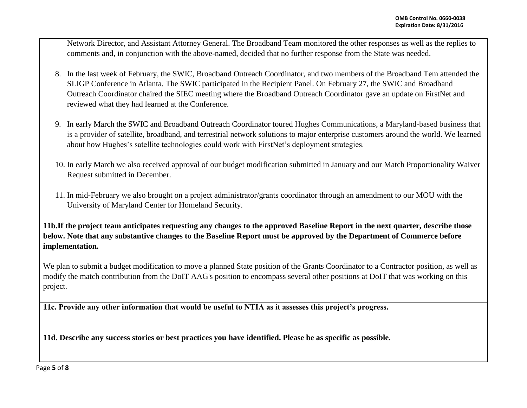Network Director, and Assistant Attorney General. The Broadband Team monitored the other responses as well as the replies to comments and, in conjunction with the above-named, decided that no further response from the State was needed.

- 8. In the last week of February, the SWIC, Broadband Outreach Coordinator, and two members of the Broadband Tem attended the SLIGP Conference in Atlanta. The SWIC participated in the Recipient Panel. On February 27, the SWIC and Broadband Outreach Coordinator chaired the SIEC meeting where the Broadband Outreach Coordinator gave an update on FirstNet and reviewed what they had learned at the Conference.
- 9. In early March the SWIC and Broadband Outreach Coordinator toured Hughes Communications, a Maryland-based business that is a provider of satellite, broadband, and terrestrial network solutions to major enterprise customers around the world. We learned about how Hughes's satellite technologies could work with FirstNet's deployment strategies.
- 10. In early March we also received approval of our budget modification submitted in January and our Match Proportionality Waiver Request submitted in December.
- 11. In mid-February we also brought on a project administrator/grants coordinator through an amendment to our MOU with the University of Maryland Center for Homeland Security.

**11b.If the project team anticipates requesting any changes to the approved Baseline Report in the next quarter, describe those below. Note that any substantive changes to the Baseline Report must be approved by the Department of Commerce before implementation.** 

We plan to submit a budget modification to move a planned State position of the Grants Coordinator to a Contractor position, as well as modify the match contribution from the DoIT AAG's position to encompass several other positions at DoIT that was working on this project.

**11c. Provide any other information that would be useful to NTIA as it assesses this project's progress.** 

**11d. Describe any success stories or best practices you have identified. Please be as specific as possible.**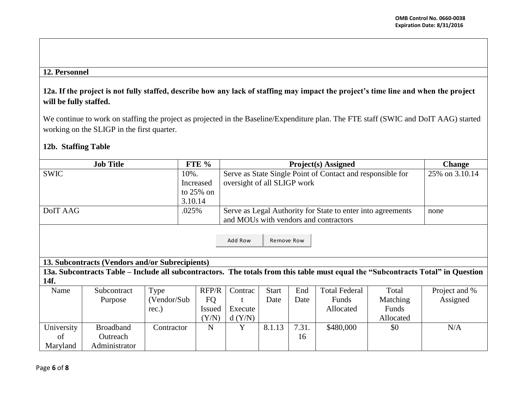## **12. Personnel**

## **12a. If the project is not fully staffed, describe how any lack of staffing may impact the project's time line and when the project will be fully staffed.**

We continue to work on staffing the project as projected in the Baseline/Expenditure plan. The FTE staff (SWIC and DoIT AAG) started working on the SLIGP in the first quarter.

## **12b. Staffing Table**

|                                                                                                                                  | <b>Job Title</b>                                |             | FTE %         | <b>Project(s)</b> Assigned                                  |              |       |                      |           | <b>Change</b>  |
|----------------------------------------------------------------------------------------------------------------------------------|-------------------------------------------------|-------------|---------------|-------------------------------------------------------------|--------------|-------|----------------------|-----------|----------------|
| <b>SWIC</b>                                                                                                                      |                                                 | 10%.        |               | Serve as State Single Point of Contact and responsible for  |              |       |                      |           | 25% on 3.10.14 |
|                                                                                                                                  |                                                 |             | Increased     | oversight of all SLIGP work                                 |              |       |                      |           |                |
|                                                                                                                                  |                                                 |             | to $25\%$ on  |                                                             |              |       |                      |           |                |
|                                                                                                                                  |                                                 | 3.10.14     |               |                                                             |              |       |                      |           |                |
| DoIT AAG                                                                                                                         |                                                 | .025%       |               | Serve as Legal Authority for State to enter into agreements | none         |       |                      |           |                |
|                                                                                                                                  |                                                 |             |               | and MOUs with vendors and contractors                       |              |       |                      |           |                |
|                                                                                                                                  |                                                 |             |               |                                                             |              |       |                      |           |                |
|                                                                                                                                  |                                                 |             |               | Add Row                                                     | Remove Row   |       |                      |           |                |
|                                                                                                                                  |                                                 |             |               |                                                             |              |       |                      |           |                |
|                                                                                                                                  |                                                 |             |               |                                                             |              |       |                      |           |                |
|                                                                                                                                  | 13. Subcontracts (Vendors and/or Subrecipients) |             |               |                                                             |              |       |                      |           |                |
| 13a. Subcontracts Table – Include all subcontractors. The totals from this table must equal the "Subcontracts Total" in Question |                                                 |             |               |                                                             |              |       |                      |           |                |
| 14f.                                                                                                                             |                                                 |             |               |                                                             |              |       |                      |           |                |
| Name                                                                                                                             | Subcontract                                     | Type        | RFP/R         | Contrac                                                     | <b>Start</b> | End   | <b>Total Federal</b> | Total     | Project and %  |
|                                                                                                                                  | Purpose                                         | (Vendor/Sub | <b>FQ</b>     |                                                             | Date         | Date  | Funds                | Matching  | Assigned       |
|                                                                                                                                  |                                                 | rec.)       | <b>Issued</b> | Execute                                                     |              |       | Allocated            | Funds     |                |
|                                                                                                                                  |                                                 |             | (Y/N)         | d(Y/N)                                                      |              |       |                      | Allocated |                |
| University                                                                                                                       | <b>Broadband</b>                                | Contractor  | N             | Y                                                           | 8.1.13       | 7.31. | \$480,000            | \$0       | N/A            |
| of                                                                                                                               | Outreach                                        |             |               |                                                             |              | 16    |                      |           |                |
| Maryland                                                                                                                         | Administrator                                   |             |               |                                                             |              |       |                      |           |                |

Page **6** of **8**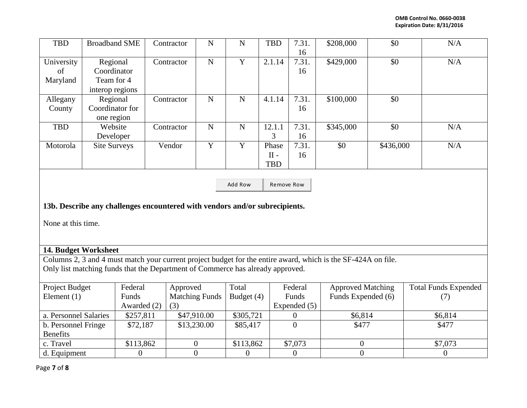| <b>TBD</b>                                                                                                                                                                                      | <b>Broadband SME</b>                                     |                      | Contractor                   | ${\bf N}$      | ${\bf N}$        | <b>TBD</b>                    | 7.31.<br>16           | \$208,000                | \$0       | N/A                         |  |
|-------------------------------------------------------------------------------------------------------------------------------------------------------------------------------------------------|----------------------------------------------------------|----------------------|------------------------------|----------------|------------------|-------------------------------|-----------------------|--------------------------|-----------|-----------------------------|--|
| University<br>of<br>Maryland                                                                                                                                                                    | Regional<br>Coordinator<br>Team for 4<br>interop regions |                      | Contractor                   | ${\bf N}$      | $\mathbf Y$      | 2.1.14                        | 7.31.<br>16           | \$429,000                | \$0       | N/A                         |  |
| Allegany<br>County                                                                                                                                                                              | Regional<br>Coordinator for<br>one region                |                      | Contractor                   | ${\bf N}$      | ${\bf N}$        | 4.1.14                        | 7.31.<br>16           | \$100,000                | \$0       |                             |  |
| TBD                                                                                                                                                                                             | Website<br>Developer                                     |                      | Contractor                   | ${\bf N}$      | ${\bf N}$        | 12.1.1<br>3                   | 7.31.<br>16           | \$345,000                | \$0       | N/A                         |  |
| Motorola                                                                                                                                                                                        | <b>Site Surveys</b>                                      |                      | Vendor                       | $\overline{Y}$ | $\overline{Y}$   | Phase<br>$II -$<br><b>TBD</b> | 7.31.<br>16           | \$0                      | \$436,000 | N/A                         |  |
| Add Row<br>Remove Row                                                                                                                                                                           |                                                          |                      |                              |                |                  |                               |                       |                          |           |                             |  |
| 13b. Describe any challenges encountered with vendors and/or subrecipients.                                                                                                                     |                                                          |                      |                              |                |                  |                               |                       |                          |           |                             |  |
| None at this time.                                                                                                                                                                              |                                                          |                      |                              |                |                  |                               |                       |                          |           |                             |  |
| 14. Budget Worksheet                                                                                                                                                                            |                                                          |                      |                              |                |                  |                               |                       |                          |           |                             |  |
| Columns 2, 3 and 4 must match your current project budget for the entire award, which is the SF-424A on file.<br>Only list matching funds that the Department of Commerce has already approved. |                                                          |                      |                              |                |                  |                               |                       |                          |           |                             |  |
| Project Budget                                                                                                                                                                                  |                                                          | Federal              | Approved                     |                | Total            |                               | Federal               | <b>Approved Matching</b> |           | <b>Total Funds Expended</b> |  |
| Element $(1)$                                                                                                                                                                                   |                                                          | Funds<br>Awarded (2) | <b>Matching Funds</b><br>(3) |                | Budget (4)       |                               | Funds<br>Expended (5) | Funds Expended (6)       |           | (7)                         |  |
| a. Personnel Salaries                                                                                                                                                                           |                                                          | \$257,811            | \$47,910.00                  |                | \$305,721        |                               | $\boldsymbol{0}$      | \$6,814                  |           | \$6,814                     |  |
| b. Personnel Fringe<br><b>Benefits</b>                                                                                                                                                          |                                                          | \$72,187             | \$13,230.00                  |                | \$85,417         |                               | $\theta$              | \$477                    |           | \$477                       |  |
| c. Travel                                                                                                                                                                                       |                                                          | \$113,862            | $\boldsymbol{0}$             |                | \$113,862        |                               | $\overline{$}7,073$   | $\overline{0}$           |           | \$7,073                     |  |
| d. Equipment                                                                                                                                                                                    |                                                          | $\mathbf{0}$         | $\overline{0}$               |                | $\boldsymbol{0}$ |                               | $\overline{0}$        | $\overline{0}$           |           | $\overline{0}$              |  |